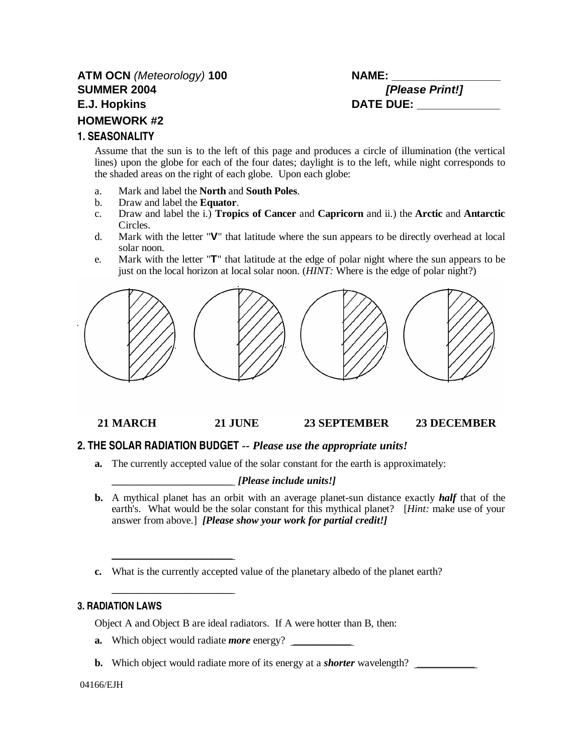# **ATM OCN** (Meteorology) **100 NAME: \_\_\_\_\_\_\_\_\_\_\_\_\_\_\_\_\_ SUMMER 2004 [Please Print!] E.J. Hopkins DATE DUE: \_\_\_\_\_\_\_\_\_\_\_\_\_ HOMEWORK #2**

## **1. SEASONALITY**

Assume that the sun is to the left of this page and produces a circle of illumination (the vertical lines) upon the globe for each of the four dates; daylight is to the left, while night corresponds to the shaded areas on the right of each globe. Upon each globe:

- a. Mark and label the **North** and **South Poles**.
- b. Draw and label the **Equator**.
- c. Draw and label the i.) **Tropics of Cancer** and **Capricorn** and ii.) the **Arctic** and **Antarctic** Circles.
- d. Mark with the letter "**V**" that latitude where the sun appears to be directly overhead at local solar noon.
- e. Mark with the letter "**T**" that latitude at the edge of polar night where the sun appears to be just on the local horizon at local solar noon. (*HINT:* Where is the edge of polar night?)



## **21 MARCH 21 JUNE 23 SEPTEMBER 23 DECEMBER**

## **2. THE SOLAR RADIATION BUDGET --** *Please use the appropriate units!*

**a.** The currently accepted value of the solar constant for the earth is approximately:

## \_\_\_\_\_\_\_\_\_\_\_\_\_\_\_\_\_\_\_\_\_\_\_ *[Please include units!]*

- **b.** A mythical planet has an orbit with an average planet-sun distance exactly *half* that of the earth's. What would be the solar constant for this mythical planet? [*Hint:* make use of your answer from above.] *[Please show your work for partial credit!]*
- **c.** What is the currently accepted value of the planetary albedo of the planet earth?

## **3. RADIATION LAWS**

 $\overline{\phantom{a}}$  , where  $\overline{\phantom{a}}$  , where  $\overline{\phantom{a}}$  , where  $\overline{\phantom{a}}$  , where  $\overline{\phantom{a}}$ 

 $\overline{\phantom{a}}$  , where  $\overline{\phantom{a}}$  , where  $\overline{\phantom{a}}$  , where  $\overline{\phantom{a}}$  , where  $\overline{\phantom{a}}$ 

Object A and Object B are ideal radiators. If A were hotter than B, then:

- **a.** Which object would radiate *more* energy?
- **b.** Which object would radiate more of its energy at a *shorter* wavelength? \_\_\_\_\_\_\_\_\_\_\_

### 04166/EJH